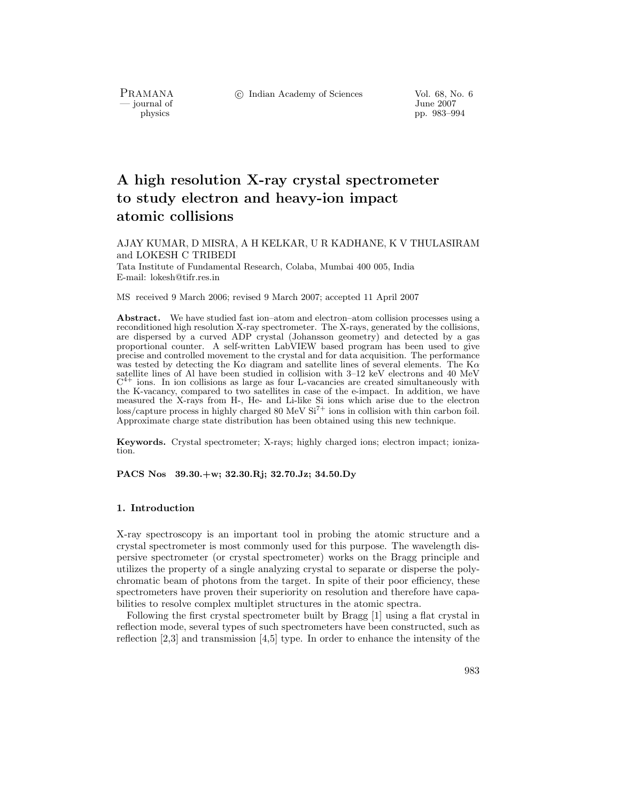c Indian Academy of Sciences Vol. 68, No. 6

PRAMANA — journal of June 2007

physics pp. 983–994

# **A high resolution X-ray crystal spectrometer to study electron and heavy-ion impact atomic collisions**

AJAY KUMAR, D MISRA, A H KELKAR, U R KADHANE, K V THULASIRAM and LOKESH C TRIBEDI

Tata Institute of Fundamental Research, Colaba, Mumbai 400 005, India E-mail: lokesh@tifr.res.in

MS received 9 March 2006; revised 9 March 2007; accepted 11 April 2007

**Abstract.** We have studied fast ion–atom and electron–atom collision processes using a reconditioned high resolution X-ray spectrometer. The X-rays, generated by the collisions, are dispersed by a curved ADP crystal (Johansson geometry) and detected by a gas proportional counter. A self-written LabVIEW based program has been used to give precise and controlled movement to the crystal and for data acquisition. The performance was tested by detecting the K $\alpha$  diagram and satellite lines of several elements. The K $\alpha$  satellite lines of Al have been studied in collision with 3–12 keV electrons and 40 MeV ions. In ion collisions as large as four L-vacancies are created simultaneously with the K-vacancy, compared to two satellites in case of the e-impact. In addition, we have measured the X-rays from H-, He- and Li-like Si ions which arise due to the electron  $\cos$ /capture process in highly charged 80 MeV  $\mathrm{Si}^{7+}$  ions in collision with thin carbon foil. Approximate charge state distribution has been obtained using this new technique.

**Keywords.** Crystal spectrometer; X-rays; highly charged ions; electron impact; ionization.

**PACS Nos 39.30.+w; 32.30.Rj; 32.70.Jz; 34.50.Dy**

## **1. Introduction**

X-ray spectroscopy is an important tool in probing the atomic structure and a crystal spectrometer is most commonly used for this purpose. The wavelength dispersive spectrometer (or crystal spectrometer) works on the Bragg principle and utilizes the property of a single analyzing crystal to separate or disperse the polychromatic beam of photons from the target. In spite of their poor efficiency, these spectrometers have proven their superiority on resolution and therefore have capabilities to resolve complex multiplet structures in the atomic spectra.

Following the first crystal spectrometer built by Bragg [1] using a flat crystal in reflection mode, several types of such spectrometers have been constructed, such as reflection  $[2,3]$  and transmission  $[4,5]$  type. In order to enhance the intensity of the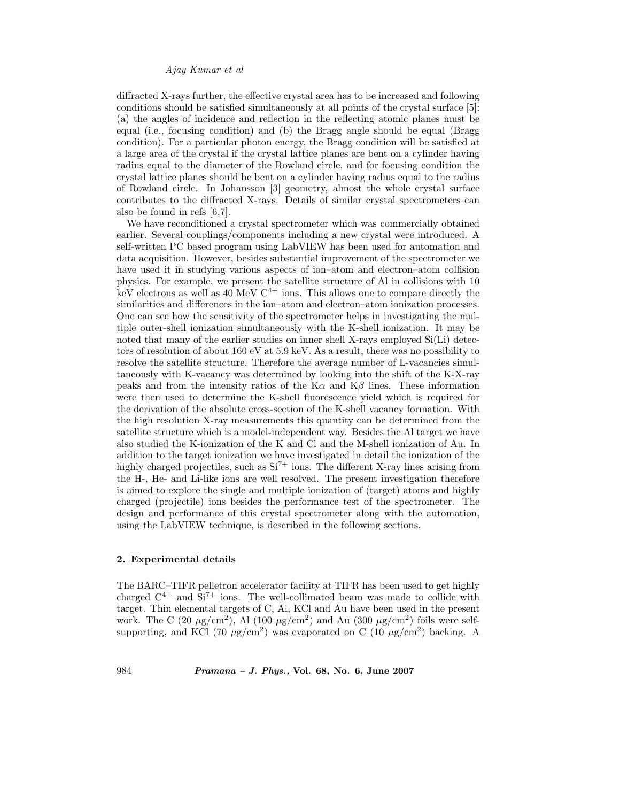diffracted X-rays further, the effective crystal area has to be increased and following conditions should be satisfied simultaneously at all points of the crystal surface [5]: (a) the angles of incidence and reflection in the reflecting atomic planes must be equal (i.e., focusing condition) and (b) the Bragg angle should be equal (Bragg condition). For a particular photon energy, the Bragg condition will be satisfied at a large area of the crystal if the crystal lattice planes are bent on a cylinder having radius equal to the diameter of the Rowland circle, and for focusing condition the crystal lattice planes should be bent on a cylinder having radius equal to the radius of Rowland circle. In Johansson [3] geometry, almost the whole crystal surface contributes to the diffracted X-rays. Details of similar crystal spectrometers can also be found in refs [6,7].

We have reconditioned a crystal spectrometer which was commercially obtained earlier. Several couplings/components including a new crystal were introduced. A self-written PC based program using LabVIEW has been used for automation and data acquisition. However, besides substantial improvement of the spectrometer we have used it in studying various aspects of ion–atom and electron–atom collision physics. For example, we present the satellite structure of Al in collisions with 10 keV electrons as well as  $40 \text{ MeV } C^{4+}$  ions. This allows one to compare directly the similarities and differences in the ion–atom and electron–atom ionization processes. One can see how the sensitivity of the spectrometer helps in investigating the multiple outer-shell ionization simultaneously with the K-shell ionization. It may be noted that many of the earlier studies on inner shell X-rays employed Si(Li) detectors of resolution of about 160 eV at 5.9 keV. As a result, there was no possibility to resolve the satellite structure. Therefore the average number of L-vacancies simultaneously with K-vacancy was determined by looking into the shift of the K-X-ray peaks and from the intensity ratios of the K $\alpha$  and K $\beta$  lines. These information were then used to determine the K-shell fluorescence yield which is required for the derivation of the absolute cross-section of the K-shell vacancy formation. With the high resolution X-ray measurements this quantity can be determined from the satellite structure which is a model-independent way. Besides the Al target we have also studied the K-ionization of the K and Cl and the M-shell ionization of Au. In addition to the target ionization we have investigated in detail the ionization of the highly charged projectiles, such as  $Si^{7+}$  ions. The different X-ray lines arising from the H-, He- and Li-like ions are well resolved. The present investigation therefore is aimed to explore the single and multiple ionization of (target) atoms and highly charged (projectile) ions besides the performance test of the spectrometer. The design and performance of this crystal spectrometer along with the automation, using the LabVIEW technique, is described in the following sections.

# **2. Experimental details**

The BARC–TIFR pelletron accelerator facility at TIFR has been used to get highly charged  $C^{4+}$  and  $Si^{7+}$  ions. The well-collimated beam was made to collide with target. Thin elemental targets of C, Al, KCl and Au have been used in the present work. The C (20  $\mu$ g/cm<sup>2</sup>), Al (100  $\mu$ g/cm<sup>2</sup>) and Au (300  $\mu$ g/cm<sup>2</sup>) foils were selfsupporting, and KCl (70  $\mu$ g/cm<sup>2</sup>) was evaporated on C (10  $\mu$ g/cm<sup>2</sup>) backing. A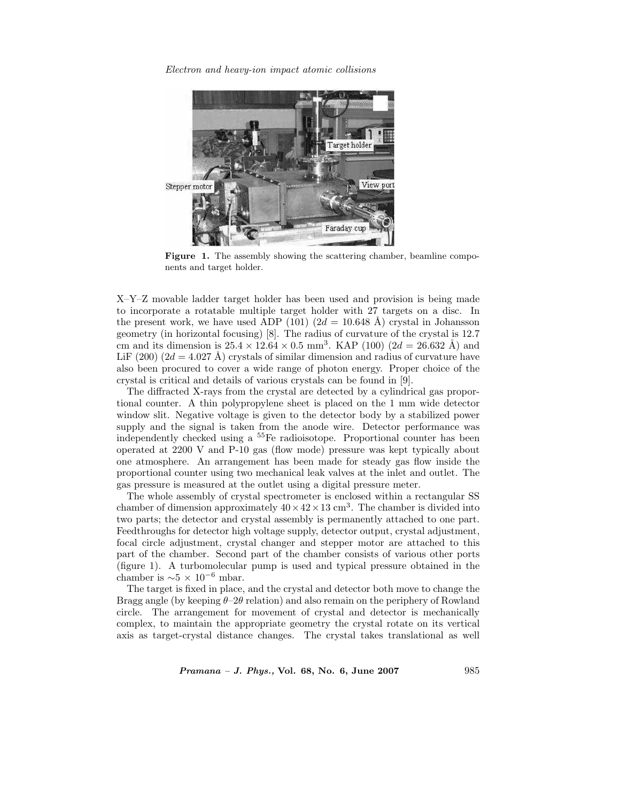*Electron and heavy-ion impact atomic collisions*



Figure 1. The assembly showing the scattering chamber, beamline components and target holder.

X–Y–Z movable ladder target holder has been used and provision is being made to incorporate a rotatable multiple target holder with 27 targets on a disc. In the present work, we have used ADP (101) ( $2d = 10.648$  Å) crystal in Johansson geometry (in horizontal focusing) [8]. The radius of curvature of the crystal is 12.7 cm and its dimension is  $25.4 \times 12.64 \times 0.5$  mm<sup>3</sup>. KAP (100) ( $2d = 26.632$  Å) and LiF (200)  $(2d = 4.027 \text{ Å})$  crystals of similar dimension and radius of curvature have also been procured to cover a wide range of photon energy. Proper choice of the crystal is critical and details of various crystals can be found in [9].

The diffracted X-rays from the crystal are detected by a cylindrical gas proportional counter. A thin polypropylene sheet is placed on the 1 mm wide detector window slit. Negative voltage is given to the detector body by a stabilized power supply and the signal is taken from the anode wire. Detector performance was independently checked using a <sup>55</sup>Fe radioisotope. Proportional counter has been operated at 2200 V and P-10 gas (flow mode) pressure was kept typically about one atmosphere. An arrangement has been made for steady gas flow inside the proportional counter using two mechanical leak valves at the inlet and outlet. The gas pressure is measured at the outlet using a digital pressure meter.

The whole assembly of crystal spectrometer is enclosed within a rectangular SS chamber of dimension approximately  $40 \times 42 \times 13$  cm<sup>3</sup>. The chamber is divided into two parts; the detector and crystal assembly is permanently attached to one part. Feedthroughs for detector high voltage supply, detector output, crystal adjustment, focal circle adjustment, crystal changer and stepper motor are attached to this part of the chamber. Second part of the chamber consists of various other ports (figure 1). A turbomolecular pump is used and typical pressure obtained in the chamber is  $\sim 5 \times 10^{-6}$  mbar.

The target is fixed in place, and the crystal and detector both move to change the Bragg angle (by keeping  $\theta$ -2 $\theta$  relation) and also remain on the periphery of Rowland circle. The arrangement for movement of crystal and detector is mechanically complex, to maintain the appropriate geometry the crystal rotate on its vertical axis as target-crystal distance changes. The crystal takes translational as well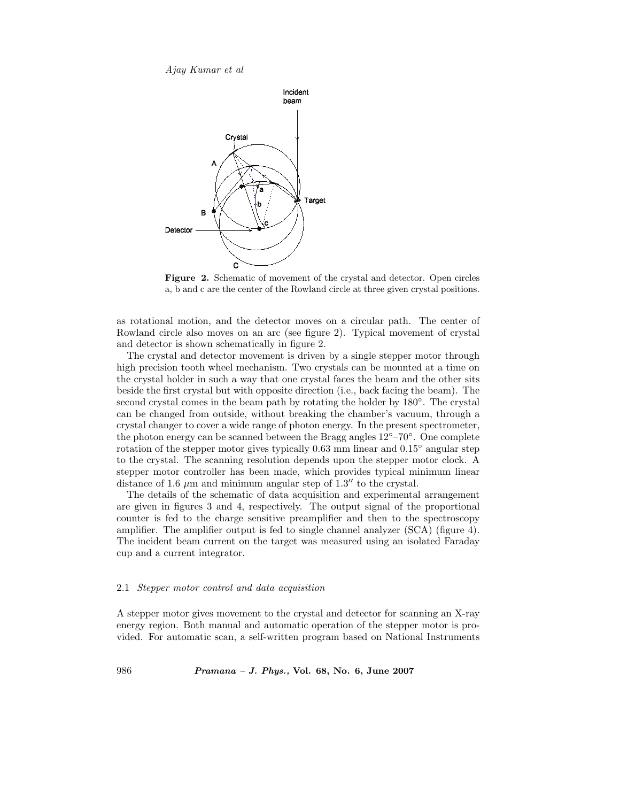

**Figure 2.** Schematic of movement of the crystal and detector. Open circles a, b and c are the center of the Rowland circle at three given crystal positions.

as rotational motion, and the detector moves on a circular path. The center of Rowland circle also moves on an arc (see figure 2). Typical movement of crystal and detector is shown schematically in figure 2.

The crystal and detector movement is driven by a single stepper motor through high precision tooth wheel mechanism. Two crystals can be mounted at a time on the crystal holder in such a way that one crystal faces the beam and the other sits beside the first crystal but with opposite direction (i.e., back facing the beam). The second crystal comes in the beam path by rotating the holder by 180<sup>°</sup>. The crystal can be changed from outside, without breaking the chamber's vacuum, through a crystal changer to cover a wide range of photon energy. In the present spectrometer, the photon energy can be scanned between the Bragg angles  $12^{\circ}$ –70°. One complete rotation of the stepper motor gives typically  $0.63$  mm linear and  $0.15^\circ$  angular step to the crystal. The scanning resolution depends upon the stepper motor clock. A stepper motor controller has been made, which provides typical minimum linear distance of 1.6  $\mu$ m and minimum angular step of 1.3" to the crystal.

The details of the schematic of data acquisition and experimental arrangement are given in figures 3 and 4, respectively. The output signal of the proportional counter is fed to the charge sensitive preamplifier and then to the spectroscopy amplifier. The amplifier output is fed to single channel analyzer (SCA) (figure 4). The incident beam current on the target was measured using an isolated Faraday cup and a current integrator.

### 2.1 *Stepper motor control and data acquisition*

A stepper motor gives movement to the crystal and detector for scanning an X-ray energy region. Both manual and automatic operation of the stepper motor is provided. For automatic scan, a self-written program based on National Instruments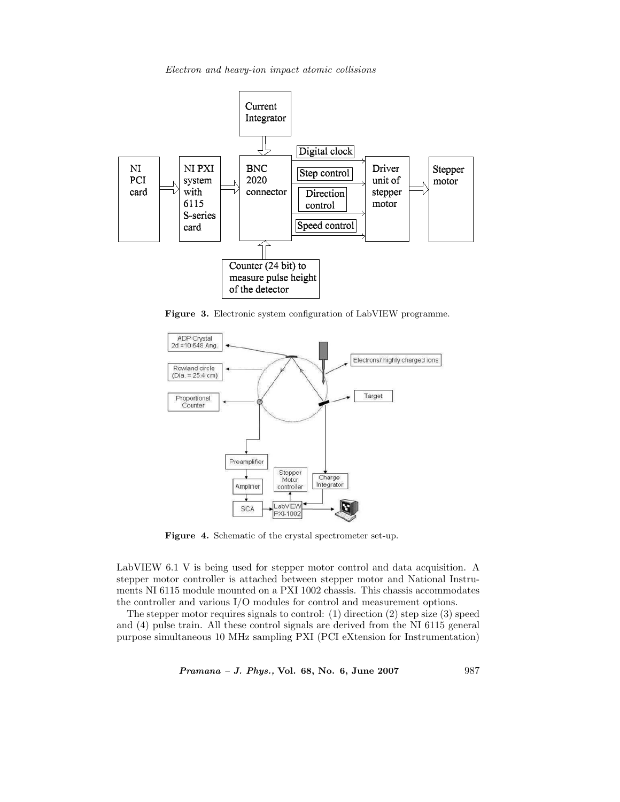*Electron and heavy-ion impact atomic collisions*



**Figure 3.** Electronic system configuration of LabVIEW programme.



**Figure 4.** Schematic of the crystal spectrometer set-up.

LabVIEW 6.1 V is being used for stepper motor control and data acquisition. A stepper motor controller is attached between stepper motor and National Instruments NI 6115 module mounted on a PXI 1002 chassis. This chassis accommodates the controller and various I/O modules for control and measurement options.

The stepper motor requires signals to control:  $(1)$  direction  $(2)$  step size  $(3)$  speed and (4) pulse train. All these control signals are derived from the NI 6115 general purpose simultaneous 10 MHz sampling PXI (PCI eXtension for Instrumentation)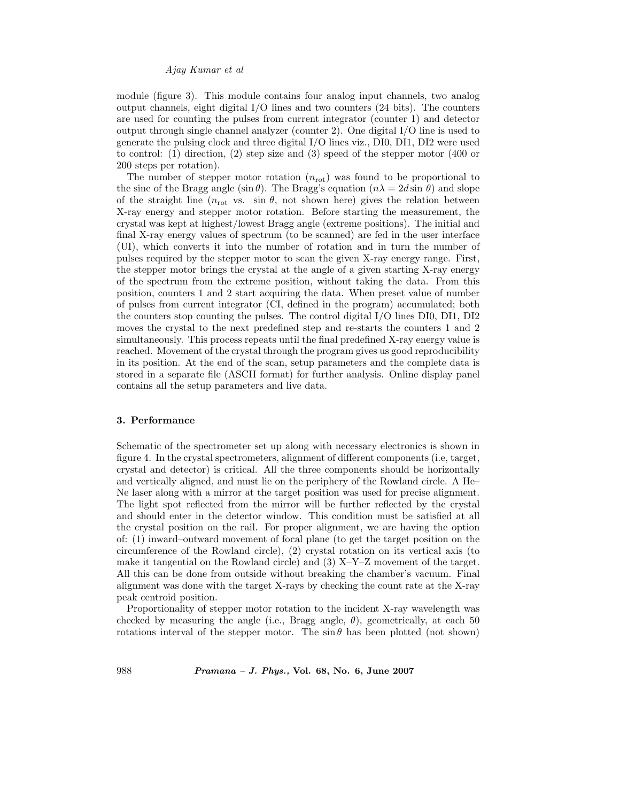module (figure 3). This module contains four analog input channels, two analog output channels, eight digital I/O lines and two counters (24 bits). The counters are used for counting the pulses from current integrator (counter 1) and detector output through single channel analyzer (counter 2). One digital  $I/O$  line is used to generate the pulsing clock and three digital I/O lines viz., DI0, DI1, DI2 were used to control: (1) direction, (2) step size and (3) speed of the stepper motor (400 or 200 steps per rotation).

The number of stepper motor rotation  $(n_{\text{rot}})$  was found to be proportional to the sine of the Bragg angle (sin  $\theta$ ). The Bragg's equation  $(n\lambda = 2d \sin \theta)$  and slope of the straight line ( $n_{\rm rot}$  vs. sin  $\theta$ , not shown here) gives the relation between X-ray energy and stepper motor rotation. Before starting the measurement, the crystal was kept at highest/lowest Bragg angle (extreme positions). The initial and final X-ray energy values of spectrum (to be scanned) are fed in the user interface (UI), which converts it into the number of rotation and in turn the number of pulses required by the stepper motor to scan the given X-ray energy range. First, the stepper motor brings the crystal at the angle of a given starting X-ray energy of the spectrum from the extreme position, without taking the data. From this position, counters 1 and 2 start acquiring the data. When preset value of number of pulses from current integrator (CI, defined in the program) accumulated; both the counters stop counting the pulses. The control digital I/O lines DI0, DI1, DI2 moves the crystal to the next predefined step and re-starts the counters 1 and 2 simultaneously. This process repeats until the final predefined X-ray energy value is reached. Movement of the crystal through the program gives us good reproducibility in its position. At the end of the scan, setup parameters and the complete data is stored in a separate file (ASCII format) for further analysis. Online display panel contains all the setup parameters and live data.

# **3. Performance**

Schematic of the spectrometer set up along with necessary electronics is shown in figure 4. In the crystal spectrometers, alignment of different components (i.e, target, crystal and detector) is critical. All the three components should be horizontally and vertically aligned, and must lie on the periphery of the Rowland circle. A He– Ne laser along with a mirror at the target position was used for precise alignment. The light spot reflected from the mirror will be further reflected by the crystal and should enter in the detector window. This condition must be satisfied at all the crystal position on the rail. For proper alignment, we are having the option of: (1) inward–outward movement of focal plane (to get the target position on the circumference of the Rowland circle), (2) crystal rotation on its vertical axis (to make it tangential on the Rowland circle) and (3) X–Y–Z movement of the target. All this can be done from outside without breaking the chamber's vacuum. Final alignment was done with the target X-rays by checking the count rate at the X-ray peak centroid position.

Proportionality of stepper motor rotation to the incident X-ray wavelength was checked by measuring the angle (i.e., Bragg angle,  $\theta$ ), geometrically, at each 50 rotations interval of the stepper motor. The  $\sin \theta$  has been plotted (not shown)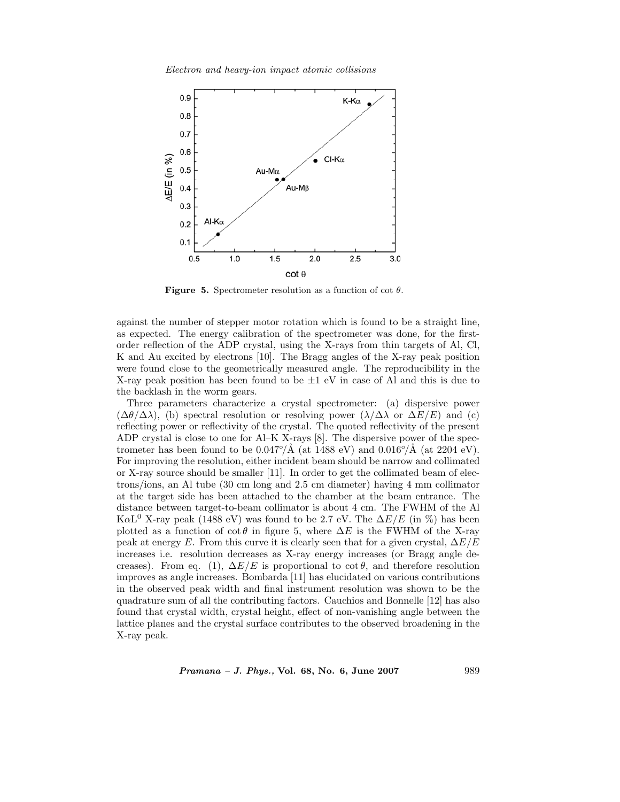*Electron and heavy-ion impact atomic collisions*



**Figure 5.** Spectrometer resolution as a function of cot  $\theta$ .

against the number of stepper motor rotation which is found to be a straight line, as expected. The energy calibration of the spectrometer was done, for the firstorder reflection of the ADP crystal, using the X-rays from thin targets of Al, Cl, K and Au excited by electrons [10]. The Bragg angles of the X-ray peak position were found close to the geometrically measured angle. The reproducibility in the X-ray peak position has been found to be  $\pm 1$  eV in case of Al and this is due to the backlash in the worm gears.

Three parameters characterize a crystal spectrometer: (a) dispersive power  $(\Delta\theta/\Delta\lambda)$ , (b) spectral resolution or resolving power  $(\lambda/\Delta\lambda)$  or  $\Delta E/E$ ) and (c) reflecting power or reflectivity of the crystal. The quoted reflectivity of the present ADP crystal is close to one for Al–K X-rays [8]. The dispersive power of the spectrometer has been found to be  $0.047^{\circ}/\text{\AA}$  (at 1488 eV) and  $0.016^{\circ}/\text{\AA}$  (at 2204 eV). For improving the resolution, either incident beam should be narrow and collimated or X-ray source should be smaller [11]. In order to get the collimated beam of electrons/ions, an Al tube (30 cm long and 2.5 cm diameter) having 4 mm collimator at the target side has been attached to the chamber at the beam entrance. The distance between target-to-beam collimator is about 4 cm. The FWHM of the Al KαL<sup>0</sup> X-ray peak (1488 eV) was found to be 2.7 eV. The  $\Delta E/E$  (in %) has been plotted as a function of  $\cot \theta$  in figure 5, where  $\Delta E$  is the FWHM of the X-ray peak at energy E. From this curve it is clearly seen that for a given crystal,  $\Delta E/E$ increases i.e. resolution decreases as X-ray energy increases (or Bragg angle decreases). From eq. (1),  $\Delta E/E$  is proportional to cot  $\theta$ , and therefore resolution improves as angle increases. Bombarda [11] has elucidated on various contributions in the observed peak width and final instrument resolution was shown to be the quadrature sum of all the contributing factors. Cauchios and Bonnelle [12] has also found that crystal width, crystal height, effect of non-vanishing angle between the lattice planes and the crystal surface contributes to the observed broadening in the X-ray peak.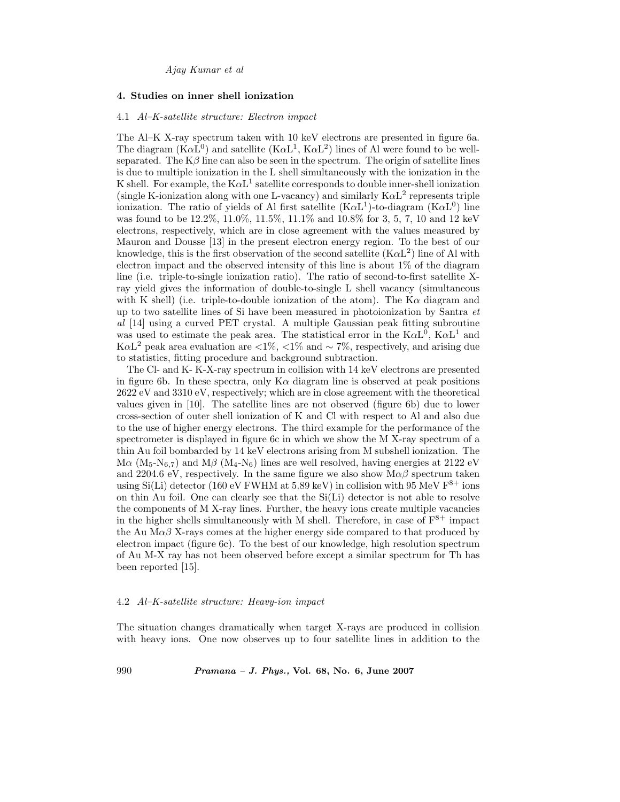## **4. Studies on inner shell ionization**

## 4.1 *Al–K-satellite structure: Electron impact*

The Al–K X-ray spectrum taken with 10 keV electrons are presented in figure 6a. The diagram  $(K\alpha L^0)$  and satellite  $(K\alpha L^1, K\alpha L^2)$  lines of Al were found to be wellseparated. The  $K\beta$  line can also be seen in the spectrum. The origin of satellite lines is due to multiple ionization in the L shell simultaneously with the ionization in the K shell. For example, the  $K\alpha L^1$  satellite corresponds to double inner-shell ionization (single K-ionization along with one L-vacancy) and similarly  $K \alpha L^2$  represents triple ionization. The ratio of yields of Al first satellite (K $\alpha L^1$ )-to-diagram (K $\alpha L^0$ ) line was found to be 12.2%, 11.0%, 11.5%, 11.1% and 10.8% for 3, 5, 7, 10 and 12 keV electrons, respectively, which are in close agreement with the values measured by Mauron and Dousse [13] in the present electron energy region. To the best of our knowledge, this is the first observation of the second satellite  $(K\alpha L^2)$  line of Al with electron impact and the observed intensity of this line is about 1% of the diagram line (i.e. triple-to-single ionization ratio). The ratio of second-to-first satellite Xray yield gives the information of double-to-single L shell vacancy (simultaneous with K shell) (i.e. triple-to-double ionization of the atom). The  $K\alpha$  diagram and up to two satellite lines of Si have been measured in photoionization by Santra *et al* [14] using a curved PET crystal. A multiple Gaussian peak fitting subroutine was used to estimate the peak area. The statistical error in the  $K\alpha L^0$ ,  $K\alpha L^1$  and K $\alpha$ L<sup>2</sup> peak area evaluation are <1%, <1% and ∼ 7%, respectively, and arising due to statistics, fitting procedure and background subtraction.

The Cl- and K- K-X-ray spectrum in collision with 14 keV electrons are presented in figure 6b. In these spectra, only  $K\alpha$  diagram line is observed at peak positions 2622 eV and 3310 eV, respectively; which are in close agreement with the theoretical values given in [10]. The satellite lines are not observed (figure 6b) due to lower cross-section of outer shell ionization of K and Cl with respect to Al and also due to the use of higher energy electrons. The third example for the performance of the spectrometer is displayed in figure 6c in which we show the M X-ray spectrum of a thin Au foil bombarded by 14 keV electrons arising from M subshell ionization. The  $M\alpha$  ( $M_5$ -N<sub>6</sub>,7) and  $M\beta$  ( $M_4$ -N<sub>6</sub>) lines are well resolved, having energies at 2122 eV and 2204.6 eV, respectively. In the same figure we also show  $M\alpha\beta$  spectrum taken using  $Si(L)$  detector (160 eV FWHM at 5.89 keV) in collision with 95 MeV  $F^{8+}$  ions on thin Au foil. One can clearly see that the Si(Li) detector is not able to resolve the components of M X-ray lines. Further, the heavy ions create multiple vacancies in the higher shells simultaneously with M shell. Therefore, in case of  $F^{8+}$  impact the Au  $\text{Ma}\beta$  X-rays comes at the higher energy side compared to that produced by electron impact (figure 6c). To the best of our knowledge, high resolution spectrum of Au M-X ray has not been observed before except a similar spectrum for Th has been reported [15].

# 4.2 *Al–K-satellite structure: Heavy-ion impact*

The situation changes dramatically when target X-rays are produced in collision with heavy ions. One now observes up to four satellite lines in addition to the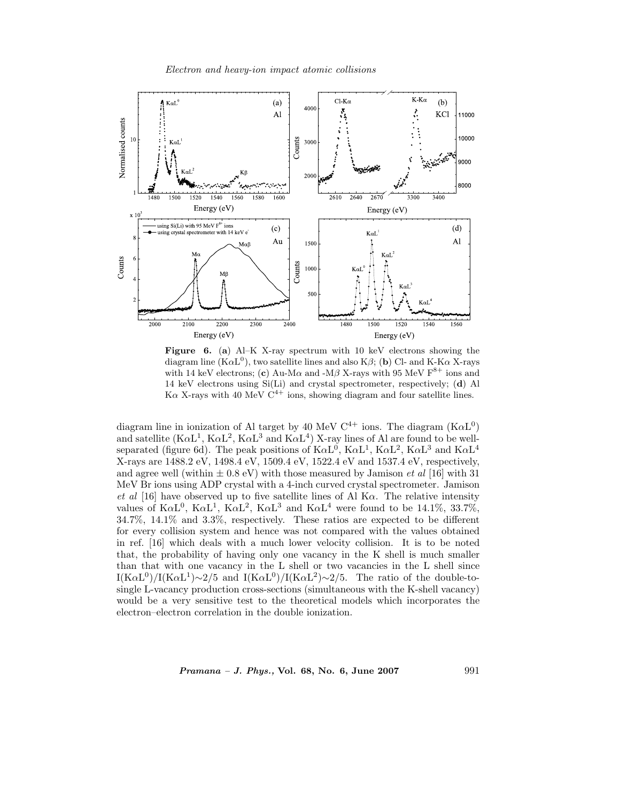*Electron and heavy-ion impact atomic collisions*



**Figure 6.** (**a**) Al–K X-ray spectrum with 10 keV electrons showing the diagram line (K $\alpha L^0$ ), two satellite lines and also K $\beta$ ; (**b**) Cl- and K-K $\alpha$  X-rays with 14 keV electrons; (c) Au-M $\alpha$  and -M $\beta$  X-rays with 95 MeV  $F^{8+}$  ions and 14 keV electrons using Si(Li) and crystal spectrometer, respectively; (**d**) Al K $\alpha$  X-rays with 40 MeV  $C^{4+}$  ions, showing diagram and four satellite lines.

diagram line in ionization of Al target by 40 MeV  $C^{4+}$  ions. The diagram  $(KaL^0)$ and satellite (K $\alpha L^1$ , K $\alpha L^2$ , K $\alpha L^3$  and K $\alpha L^4$ ) X-ray lines of Al are found to be wellseparated (figure 6d). The peak positions of  $K\alpha L^0$ ,  $K\alpha L^1$ ,  $K\alpha L^2$ ,  $K\alpha L^3$  and  $K\alpha L^4$ X-rays are 1488.2 eV, 1498.4 eV, 1509.4 eV, 1522.4 eV and 1537.4 eV, respectively, and agree well (within  $\pm$  0.8 eV) with those measured by Jamison *et al* [16] with 31 MeV Br ions using ADP crystal with a 4-inch curved crystal spectrometer. Jamison *et al* [16] have observed up to five satellite lines of Al Kα. The relative intensity values of  $K\alpha L^0$ ,  $K\alpha L^1$ ,  $K\alpha L^2$ ,  $K\alpha L^3$  and  $K\alpha L^4$  were found to be 14.1%, 33.7%, 34.7%, 14.1% and 3.3%, respectively. These ratios are expected to be different for every collision system and hence was not compared with the values obtained in ref. [16] which deals with a much lower velocity collision. It is to be noted that, the probability of having only one vacancy in the K shell is much smaller than that with one vacancy in the L shell or two vacancies in the L shell since I(K $\alpha L^{0}$ )/I(K $\alpha L^{1}$ )∼2/5 and I(K $\alpha L^{0}$ )/I(K $\alpha L^{2}$ )∼2/5. The ratio of the double-tosingle L-vacancy production cross-sections (simultaneous with the K-shell vacancy) would be a very sensitive test to the theoretical models which incorporates the electron–electron correlation in the double ionization.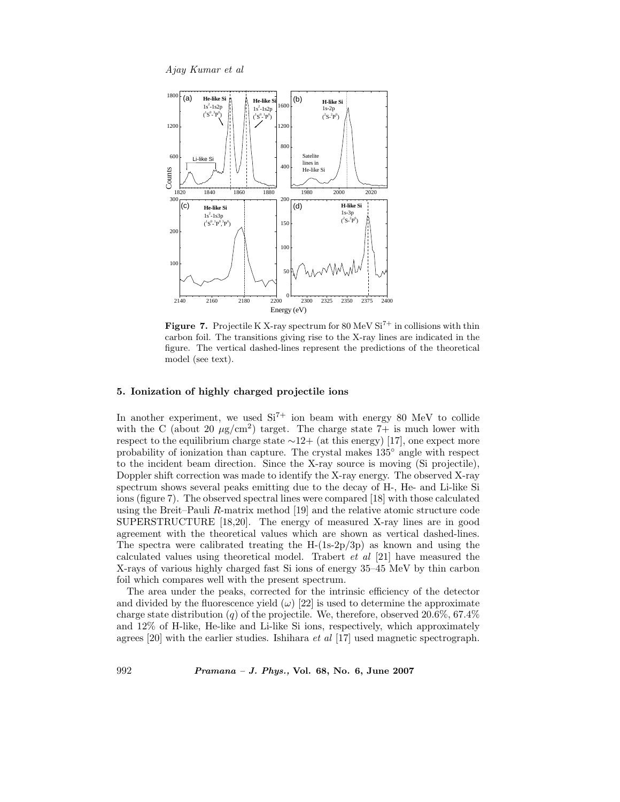

**Figure 7.** Projectile K X-ray spectrum for 80 MeV  $Si^{7+}$  in collisions with thin carbon foil. The transitions giving rise to the X-ray lines are indicated in the figure. The vertical dashed-lines represent the predictions of the theoretical model (see text).

## **5. Ionization of highly charged projectile ions**

In another experiment, we used  $Si^{7+}$  ion beam with energy 80 MeV to collide with the C (about 20  $\mu$ g/cm<sup>2</sup>) target. The charge state 7+ is much lower with respect to the equilibrium charge state  $\sim$ 12+ (at this energy) [17], one expect more probability of ionization than capture. The crystal makes 135◦ angle with respect to the incident beam direction. Since the X-ray source is moving (Si projectile), Doppler shift correction was made to identify the X-ray energy. The observed X-ray spectrum shows several peaks emitting due to the decay of H-, He- and Li-like Si ions (figure 7). The observed spectral lines were compared [18] with those calculated using the Breit–Pauli R-matrix method [19] and the relative atomic structure code SUPERSTRUCTURE [18,20]. The energy of measured X-ray lines are in good agreement with the theoretical values which are shown as vertical dashed-lines. The spectra were calibrated treating the  $H-(1s-2p/3p)$  as known and using the calculated values using theoretical model. Trabert *et al* [21] have measured the X-rays of various highly charged fast Si ions of energy 35–45 MeV by thin carbon foil which compares well with the present spectrum.

The area under the peaks, corrected for the intrinsic efficiency of the detector and divided by the fluorescence yield  $(\omega)$  [22] is used to determine the approximate charge state distribution  $(q)$  of the projectile. We, therefore, observed 20.6%, 67.4% and 12% of H-like, He-like and Li-like Si ions, respectively, which approximately agrees [20] with the earlier studies. Ishihara *et al* [17] used magnetic spectrograph.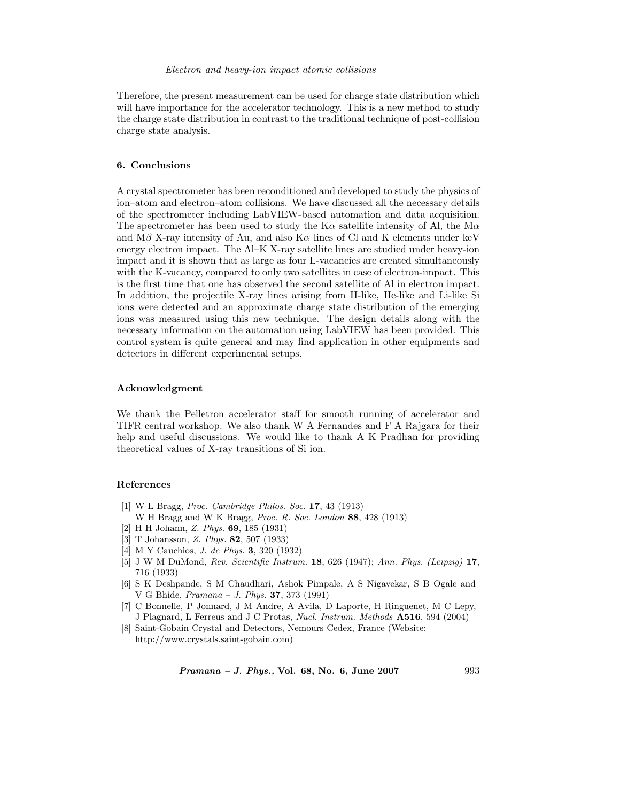#### *Electron and heavy-ion impact atomic collisions*

Therefore, the present measurement can be used for charge state distribution which will have importance for the accelerator technology. This is a new method to study the charge state distribution in contrast to the traditional technique of post-collision charge state analysis.

# **6. Conclusions**

A crystal spectrometer has been reconditioned and developed to study the physics of ion–atom and electron–atom collisions. We have discussed all the necessary details of the spectrometer including LabVIEW-based automation and data acquisition. The spectrometer has been used to study the K $\alpha$  satellite intensity of Al, the M $\alpha$ and M $\beta$  X-ray intensity of Au, and also K $\alpha$  lines of Cl and K elements under keV energy electron impact. The Al–K X-ray satellite lines are studied under heavy-ion impact and it is shown that as large as four L-vacancies are created simultaneously with the K-vacancy, compared to only two satellites in case of electron-impact. This is the first time that one has observed the second satellite of Al in electron impact. In addition, the projectile X-ray lines arising from H-like, He-like and Li-like Si ions were detected and an approximate charge state distribution of the emerging ions was measured using this new technique. The design details along with the necessary information on the automation using LabVIEW has been provided. This control system is quite general and may find application in other equipments and detectors in different experimental setups.

## **Acknowledgment**

We thank the Pelletron accelerator staff for smooth running of accelerator and TIFR central workshop. We also thank W A Fernandes and F A Rajgara for their help and useful discussions. We would like to thank A K Pradhan for providing theoretical values of X-ray transitions of Si ion.

## **References**

- [1] W L Bragg, Proc. Cambridge Philos. Soc. **17**, 43 (1913)
- W H Bragg and W K Bragg, Proc. R. Soc. London **88**, 428 (1913)
- [2] H H Johann, Z. Phys. **69**, 185 (1931)
- [3] T Johansson, Z. Phys. **82**, 507 (1933)
- [4] M Y Cauchios, J. de Phys. **3**, 320 (1932)
- [5] J W M DuMond, Rev. Scientific Instrum. **18**, 626 (1947); Ann. Phys. (Leipzig) **17**, 716 (1933)
- [6] S K Deshpande, S M Chaudhari, Ashok Pimpale, A S Nigavekar, S B Ogale and V G Bhide, Pramana – J. Phys. **37**, 373 (1991)
- [7] C Bonnelle, P Jonnard, J M Andre, A Avila, D Laporte, H Ringuenet, M C Lepy, J Plagnard, L Ferreus and J C Protas, Nucl. Instrum. Methods **A516**, 594 (2004)
- [8] Saint-Gobain Crystal and Detectors, Nemours Cedex, France (Website: http://www.crystals.saint-gobain.com)